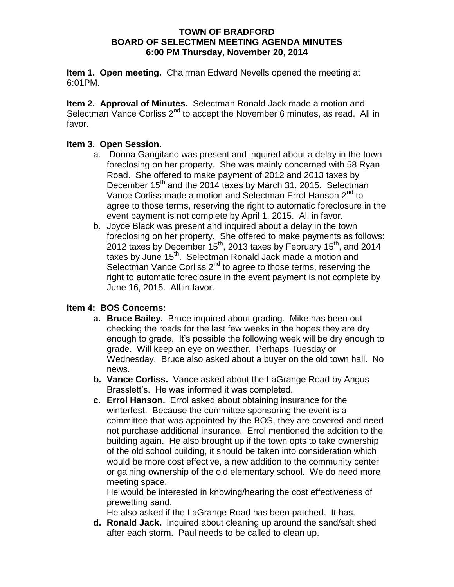#### **TOWN OF BRADFORD BOARD OF SELECTMEN MEETING AGENDA MINUTES 6:00 PM Thursday, November 20, 2014**

**Item 1. Open meeting.** Chairman Edward Nevells opened the meeting at 6:01PM.

**Item 2. Approval of Minutes.** Selectman Ronald Jack made a motion and Selectman Vance Corliss 2<sup>nd</sup> to accept the November 6 minutes, as read. All in favor.

### **Item 3. Open Session.**

- a. Donna Gangitano was present and inquired about a delay in the town foreclosing on her property. She was mainly concerned with 58 Ryan Road. She offered to make payment of 2012 and 2013 taxes by December 15<sup>th</sup> and the 2014 taxes by March 31, 2015. Selectman Vance Corliss made a motion and Selectman Errol Hanson 2<sup>nd</sup> to agree to those terms, reserving the right to automatic foreclosure in the event payment is not complete by April 1, 2015. All in favor.
- b. Joyce Black was present and inquired about a delay in the town foreclosing on her property. She offered to make payments as follows: 2012 taxes by December  $15^{th}$ , 2013 taxes by February 15<sup>th</sup>, and 2014 taxes by June 15<sup>th</sup>. Selectman Ronald Jack made a motion and Selectman Vance Corliss 2<sup>nd</sup> to agree to those terms, reserving the right to automatic foreclosure in the event payment is not complete by June 16, 2015. All in favor.

### **Item 4: BOS Concerns:**

- **a. Bruce Bailey.** Bruce inquired about grading. Mike has been out checking the roads for the last few weeks in the hopes they are dry enough to grade. It's possible the following week will be dry enough to grade. Will keep an eye on weather. Perhaps Tuesday or Wednesday. Bruce also asked about a buyer on the old town hall. No news.
- **b. Vance Corliss.** Vance asked about the LaGrange Road by Angus Brasslett's. He was informed it was completed.
- **c. Errol Hanson.** Errol asked about obtaining insurance for the winterfest. Because the committee sponsoring the event is a committee that was appointed by the BOS, they are covered and need not purchase additional insurance. Errol mentioned the addition to the building again. He also brought up if the town opts to take ownership of the old school building, it should be taken into consideration which would be more cost effective, a new addition to the community center or gaining ownership of the old elementary school. We do need more meeting space.

He would be interested in knowing/hearing the cost effectiveness of prewetting sand.

He also asked if the LaGrange Road has been patched. It has.

**d. Ronald Jack.** Inquired about cleaning up around the sand/salt shed after each storm. Paul needs to be called to clean up.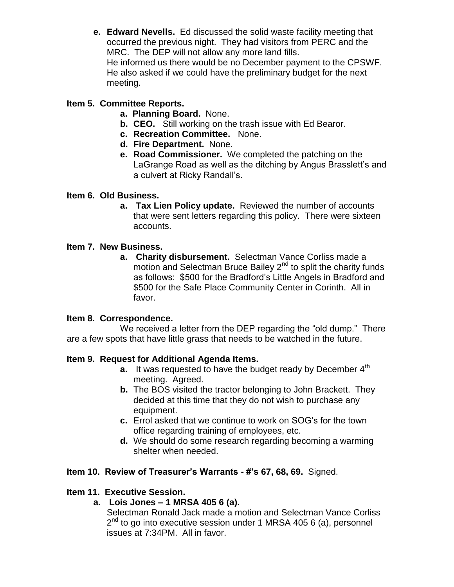**e. Edward Nevells.** Ed discussed the solid waste facility meeting that occurred the previous night. They had visitors from PERC and the MRC. The DEP will not allow any more land fills. He informed us there would be no December payment to the CPSWF. He also asked if we could have the preliminary budget for the next meeting.

## **Item 5. Committee Reports.**

- **a. Planning Board.** None.
- **b. CEO.** Still working on the trash issue with Ed Bearor.
- **c. Recreation Committee.** None.
- **d. Fire Department.** None.
- **e. Road Commissioner.** We completed the patching on the LaGrange Road as well as the ditching by Angus Brasslett's and a culvert at Ricky Randall's.

### **Item 6. Old Business.**

**a. Tax Lien Policy update.** Reviewed the number of accounts that were sent letters regarding this policy. There were sixteen accounts.

### **Item 7. New Business.**

**a. Charity disbursement.** Selectman Vance Corliss made a motion and Selectman Bruce Bailey  $2^{nd}$  to split the charity funds as follows: \$500 for the Bradford's Little Angels in Bradford and \$500 for the Safe Place Community Center in Corinth. All in favor.

### **Item 8. Correspondence.**

We received a letter from the DEP regarding the "old dump." There are a few spots that have little grass that needs to be watched in the future.

### **Item 9. Request for Additional Agenda Items.**

- **a.** It was requested to have the budget ready by December 4<sup>th</sup> meeting. Agreed.
- **b.** The BOS visited the tractor belonging to John Brackett. They decided at this time that they do not wish to purchase any equipment.
- **c.** Errol asked that we continue to work on SOG's for the town office regarding training of employees, etc.
- **d.** We should do some research regarding becoming a warming shelter when needed.

### **Item 10. Review of Treasurer's Warrants - #'s 67, 68, 69.** Signed.

### **Item 11. Executive Session.**

# **a. Lois Jones – 1 MRSA 405 6 (a).**

Selectman Ronald Jack made a motion and Selectman Vance Corliss 2<sup>nd</sup> to go into executive session under 1 MRSA 405 6 (a), personnel issues at 7:34PM. All in favor.